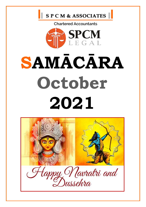



# **SAMĀCĀRA October 2021**

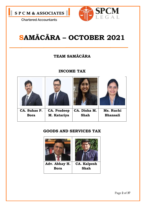



# **SAMĀCĀRA – OCTOBER 2021**

# **TEAM SAMĀCĀRA**

# **INCOME TAX**

| CA. Suhas P. | <b>CA. Pradeep</b> | CA. Disha M. | Ms. Ruchi       |
|--------------|--------------------|--------------|-----------------|
| <b>Bora</b>  | M. Katariya        | <b>Shah</b>  | <b>Bhansali</b> |
|              |                    |              |                 |

# **GOODS AND SERVICES TAX**

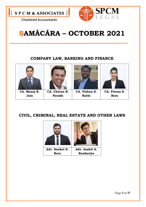



# **SAMĀCĀRA – OCTOBER 2021**

# **COMPANY LAW, BANKING AND FINANCE**



**CA. Manoj R. Jain**

### **CA. Chetan R. Parakh**





**Rathi**

**CA. Prerna S. Bora**

# **CIVIL, CRIMINAL, REAL ESTATE AND OTHER LAWS**

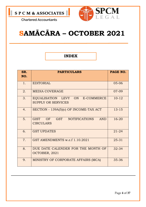

# **SAMĀCĀRA – OCTOBER 2021**

# **INDEX**

| SR.<br>NO. | <b>PARTICULARS</b>                                                                               | PAGE NO.  |
|------------|--------------------------------------------------------------------------------------------------|-----------|
|            |                                                                                                  |           |
| 1.         | <b>EDITORIAL</b>                                                                                 | $05 - 06$ |
| 2.         | <b>MEDIA COVERAGE</b>                                                                            | 07-09     |
| 3.         | E-COMMERCE<br>EQUALISATION LEVY ON<br><b>SUPPLY OR SERVICES</b>                                  | $10 - 12$ |
| 4.         | SECTION - 139A(5)(c) OF INCOME-TAX ACT                                                           | $13 - 15$ |
| 5.         | <b>GST</b><br><b>GIST</b><br><b>OF</b><br><b>NOTIFICATIONS</b><br><b>AND</b><br><b>CIRCULARS</b> | $16 - 20$ |
| 6.         | <b>GST UPDATES</b>                                                                               | $21 - 24$ |
| 7.         | GST AMENDMENTS w.e.f 1.10.2021                                                                   | $25 - 31$ |
| 8.         | DUE DATE CALENDER FOR THE MONTH OF<br>OCTOBER, 2021                                              | 32-34     |
| 9.         | MINISTRY OF CORPORATE AFFAIRS (MCA)                                                              | $35 - 36$ |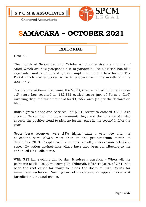



# **SAMĀCĀRA – OCTOBER 2021**

# **EDITORIAL**

Dear All,

The month of September and October which otherwise are months of Audit which are now postponed due to pandemic. The situation has also aggravated and is hampered by poor implementation of New Income Tax Portal which was supposed to be fully operative in the month of June 2021 only.

Tax dispute settlement scheme, the VSVS, that remained in force for over 1.5 years has resulted in 132,353 settled cases (no. of Form 1 filed) involving disputed tax amount of Rs.99,756 crores (as per the declaration filed).

India's gross Goods and Services Tax (GST) revenues crossed ₹1.17 lakh crore in September, hitting a five-month high and the Finance Ministry expects the positive trend to pick up further pace in the second half of the year.

September's revenues were 23% higher than a year ago and the collections were 27.3% more than in the pre-pandemic month of September 2019. Coupled with economic growth, anti-evasion activities, especially action against fake billers have also been contributing to the enhanced GST collections.

With GST law evolving day by day, it raises a question – When will the positions settle? Delay in setting up Tribunals (after 4+ years of GST) has been the root cause for many to knock the doors of High Courts for immediate resolution. Running cost of Pre-deposit for appeal makes writ jurisdiction a natural choice.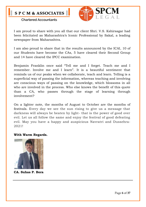



I am proud to share with you all that our client Shri. V.S. Kshirsagar had been felicitated as Maharashtra's Iconic Professional by Sakal, a leading newspaper from Maharashtra.

I am also proud to share that in the results announced by the ICAI, 10 of our Students have become the CAs, 5 have cleared their Second Group and 14 have cleared the IPCC examination.

Benjamin Franklin once said "Tell me and I forget. Teach me and I remember. Involve me and I learn". It is a beautiful sentiment that reminds us of our peaks when we collaborate, teach and learn. Telling is a superficial way of passing the information, whereas teaching and involving are conscious ways of passing on the knowledge, which blossoms in all who are involved in the process. Who else knows the benefit of this quote than a CA, who passes through the stage of learning through involvement?

On a lighter note, the months of August to October are the months of festivals. Every day we see the sun rising to give us a message that darkness will always be beaten by light- that is the power of good over evil. Let us all follow the same and enjoy the festival of good defeating evil. May you have a happy and auspicious Navratri and Dussehra-2021!

### **With Warm Regards.**



**CA. Suhas P. Bora** 

Page **6** of **37**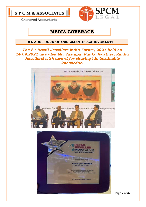



# **MEDIA COVERAGE**

# **WE ARE PROUD OF OUR CLIENTS' ACHIEVEMENT!**

# *The 8th Retail Jewellers India Forum, 2021 held on 14.09.2021 awarded Mr. Vastupal Ranka (Partner, Ranka Jewellers) with award for sharing his invaluable knowledge.*



Page **7** of **37**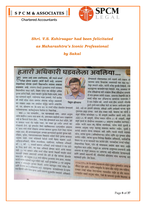

# *Shri. V.S. Kshirsagar had been felicitated as Maharashtra's Iconic Professional by Sakal*

# हजारी अधिकारी घडवलेला अवलिया...

होण्यासाठी लोकचळवळ उभी राहावी असे स्वरूप आ यशाच्या प्रचंड शिखरावर असतानाही पाय मात्र घट रोवून उभारले आहेत. सरांनी अनेक पुस्तके लिहिली, त्या महाराष्ट्राच्या कानाकोपऱ्यांत पोहचले. मात्र, आजच्या जग लोक प्रसिद्धीच्या मागे धावतात किंवा प्रसिद्धीचा हव्यास तो मात्र हव्यास सरांनी टाळला. आपल्या लेखणीने सर म स्पर्धा परीक्षा करू इच्छिणाऱ्या तरुणांच्या मनामनांत पं हे मात्र तेवढेच खरे. आपले काम हीच आपली ओळख तुम्ही तुमचे काम दर्जेदार केले तर समाज आपोआप तुमच



विठ्ठल क्षीरसागर

व्ही. एस. क्षीरसागर सर (के सागर सर) या स्पर्धा परीक्षा क्षेत्रातील प्रेरणादायी व्यक्तिमत्त्वाच्या कार्यकर्तृत्वाचा घेतलेला हा लेखाजोखा..

↑ प्रवास आहे अशा अवलियाचा, की ज्याने स्पर्धा  $\overline{\mathcal{C}}$  प्रवास आहे अशा अवलियाचा, की ज्याने स्पर्धा<br>लेग्या क्षेत्रात अक्षरशः क्रांती केली आहे. आपल्या<br>लेखणीच्या जोगला इजागे विद्यार्थां मुख्याचा उपापक

लेखणीच्या जोरावर हजारो विद्यार्थ्यांना यशाचा दरवाजा

दाखवला आहे. आपल्या शेकडो पुस्तकांच्या रूपाने कायमच

विद्यार्थ्यांच्या जवळ राहणे, लेखक म्हणून एक कोटीहन अधिक

पुस्तक प्रतींची विक्री, सतत नवनवीन पुस्तके लिहीत राहणे, प्रचंड

कष्ट करण्याची प्रवृत्ती, नावीन्याचा घ्यास असणारे, गेली पस्तीस

वर्षे स्पर्धा परीक्षा क्षेत्रात तरुणांना अंघाऱ्या वाटेतून प्रकाशाची

वाट दाखवत अखंड उभा असलेला वटवृक्ष म्हणजे आदरणीय

काळ ८० च्या दशकातील... एक महत्त्वाकांक्षी तरुण.. आपलं आयुष्य असंच काहीच न करता जाता कामा नये, आपल्याला काहीतरी करून दाखवायचं आहे या विचाराने पेटला होता... नेमकं मोठं होण्यासाठी काय केलं दाखवायच या तरुणाला फारसं नीट माहौत नव्हतं; पण पावलं पुढं टाकीत आपली वाट शोषायची होती. पुढे पुण्यातील विघी महाविद्यालयात एलएलबीला असताना के' सागर यांनी स्पर्धा परीक्षांचा अभ्यास करायला सुरुवात केली तेव्हा त्यांच्या<br>उष्णा असती स्पर्धा परीक्षांचा अभ्यास करायला सुरुवात केली तेव्हा त्यांच्या लेक्षात आले. की अध्यासक्रमानुसार अभ्यास करण्यासाठी कुठलेही पुस्तक नाही.<br>लेक्षात आले, की अभ्यासक्रमानुसार अभ्यास करण्यासाठी कुठलेही पुस्तक नाही. इतिहास, भूगोल, पंचायतराजसारख्या विषयांची माहिती देणारे पुस्तक बाजारात<br>उतिहास, भूगोल, पंचायतराजसारख्या विषयांची माहिती देणारे पुस्तक बाजारात उपलब्ध नव्हते. स्पर्धा परीक्षेसाठी केलेली त्यांची मेहना फळाला आली.<br>उपलब्ध नव्हते. स्पर्धा परीक्षेसाठी केलेली त्यांची मेहनत फळाला आली. उपजिल्हाअधिकारी, पोलिस उपअधीक्षक, तहसीलदार, गटविकास अधिकारी<br>उपजिल्हाअधिकारी, पोलिस उपअधीक्षक, तहसीलदार, गटविकास अधिकारी वर्ग - १, वर्ग - २, सरकारी कामगार अधिकारी आदी पदांसाठी ते पात्र ठरले<br>वर्ग - १, वर्ग - २, सरकारी कामगार अधिकारी आदी पदांसाठी ते पात्र ठरले ...<br>वा निवड झाली होती; पण फक्त अधिकारी होण्यात सरांनी आनंद मानला<br>नाही. ८० च्या दशकात अनेक गुर्फ़्स कर्मी होण्यात सरांनी आनंद मानला मा स्वर्ग साला होता। पूर्ण फक्त आधकारी होण्यात सरांनी आनंद मानला<br>नाही. ८० च्या दशकात अनेक स्पर्धा परीक्षा करणारे विद्यार्थी मराठीत संदर्भ<br>नसल्याने गुणवत्ता असतानाही अण्याणी केन क्रेस की दे नसल्याने गुणवत्ता असतानाही अपयशी सोक्षा करणारे विद्यार्थी मराठीत संदर्भ<br>सल्याने गुणवत्ता असतानाही अपयशी होत होते ही गोष्ट सरांच्या डोळ्यांत सलत होती. मंग यातूनच १९८६ मध्ये पहिल्या पुस्तकाचा जन्म झाला. त्यानंतर<br>सरांनी कघीच पाठीमागे वळन पाहिले नाडी जन्मी जन्म झाला. त्यानंतर सरांनी कधीच पाठीमारी १९८६ मध्य पहिल्या पुस्तकाचा जन्म झाला. त्यानंतर<br>झाल्या व आंतरराष्ट्रीय पुरस्कार मिळाले नाही. काही पुस्तकांच्या ८० पार आवृत्त्या<br>अणि ने अंतरराष्ट्रीय पुरस्कार मिळाले. यानंतर एकाणाचा पाठी आवृत्त्या झाल्या व आंतरराष्ट्रीय पुरस्कार मिळाले. काही पुस्तकांच्या ८० पार आवृत्त्या<br>आणि के सागर सर हे समीकरणच ठरले. यानंतर महाराष्ट्रात स्पर्धा परीक्षा क्षेत्र<br>जल पोकले सर हे समीकरणच ठरले. महाराष्ट्राच्या जन्म रूपे परीक्षा क्षेत्र सार ना न आतरराष्ट्राय पुरस्कार मिळाले. यानंतर महाराष्ट्रात स्पर्धा परीक्षा क्षेत्र<br>आणि के सागर सर हे समीकरणच ठरले. महाराष्ट्राच्या कानाकोपऱ्यांत के सागर<br>नाव पोहचले आणि वेथेच खऱ्या अर्थाने सामान्य करूंलाकोल जन्मांना के सा जानि के सागर सर है समीकरणच ठरले. महाराष्ट्राच्या कानाकोपऱ्यांत के सागर<br>नाव पोहचले आणि वेथेच खऱ्या अर्थाने सामान्य कुटुंबातील तरुणांची अधिकारी

घेतो, असे सर ठामपणे सांगतात. प्रसिद्धी आणि अर्थप्राप्ती यांच्या भुलभ गुंतल्यास हातून प्रत्यक्ष कार्य होऊ शकत नाही. केसागर सर यांची 3 संपूर्ण पोलिस कॉन्स्टेबल ९० वी आवृत्ती प्रकाशित झाली आहे. PS ASO ८५ वी आवृत्ती, लेटेस्ट जनरल नॉलेज ८२ वी आवृत्ती, संपूर्ण संपूर्ण इंग्रजी या दोन्हींच्या जवळपास ५० आवृत्या प्रकाशित करण्यात : आहेत. सरांचे लहान बंधू पोलिस उपाधीक्षक, तसेच मोठी मुलगी स कामगार आयुक्त म्हणून महाराष्ट्र शासनात कार्यरत आहेत. दुसरी मु सरांची प्रकाशन संस्था सांभाळत आहे आणि त्याची व्याप्ती वाढवत तसेच, सरांचा मुलगा (अस्थिरोगतज्ज्ञ) तसेच आणि सून पुण्यात डॉक्ट<br>कार्यूम अफ्रेट जानंज — कार्यरत आहेत. सरांचा मुलगा विशेषज्ञ वैद्यकीय अधिकारी, सार्वजनिक<br>विभाग एन. २१ मा एक्लानी -विभाग गट-अ या पदासाठी पात्र उरलेले होते. याचबरोबर स्पर्धा परीक्षा<br>विद्यार्थ्यांच्या पैरण्या कर्णाटक स्पर्धा परीक्षा विद्यार्थ्यांच्या नैराश्य, प्लॅन बी यांसारख्या प्रश्नांवर त्मास करत आहेत<br>समपदेशन करत आहेत उगाने — समुपदेशन करत आहेत. यामुळे सर आपल्या प्रश्नावर काम करत आहेत<br>आपल्या या संपर्ण प्रवासात मर आपल्या आयुष्यात समाधानी आहे आपल्या या संपूर्ण प्रवासात सर आपल्या आयुष्यात समाधानी आहेत<br>आपल्या या संपूर्ण प्रवासात सर आपल्या आई-वडिलांना प्रेरणास्थानी आणि आपली सहचरणी सौ. शोभादेवी क्षीरसागर यांना प्रेरणास्थानी<br>यशासाठी पूर्णतः श्रेय देवाव यशासाठी पूर्णतः श्रेय देतात.

१९९७-१९९८ ला के सागर प्रकाशनाचे पहिले दुकान पुण्यातील अप्या ब<br>चौकात सुरू झाले. आणि त्यापर्नीच के उच्चा दुकान पुण्यातील अप्या ब चौकात सुरू झाले. आणि त्यापूर्वीच के सागर ब्रँड म्हणून उभा राहिला.<br>राज्यात स्पर्धा परीक्षा देणाऱ्यांच्या गळ्याचील कर्म राणि उभा राहिला. राज्यात स्पर्धा परीक्षा देणाऱ्यांच्या गळ्यातील ताईत हा ब्रॅंड क्ला<br>राज्यातील एकही तालका नसेल जिले के जाएगी हा ब्रॅंड बनला राज्यातील एकही तालुका नसेल, जिथे के सागरची पुस्तके मिळणार ना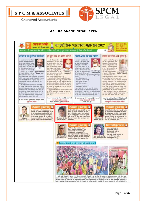



# **AAJ KA ANAND NEWSPAPER**

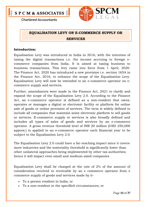



# **EQUALISATION LEVY ON E-COMMERCE SUPPLY OR SERVICES**

### **Introduction:**

Equalisation Levy was introduced in India in 2016, with the intention of taxing the digital transactions i.e. the income accruing to foreign ecommerce companies from India. It is aimed at taxing business to business transactions. This levy came into force from 1 April, 2020. The [Finance Act, 2020](https://taxguru.in/finance/finance-act-2020.html) has introduced a new provision i.e. section 165A in the Finance Act, 2016, to enhance the scope of the Equalisation Levy. Equalisation Levy will now be extended to an e-commerce operator on ecommerce supply and services.

Further, amendments were made in the Finance Act, 2021 to clarify and expand the scope of the Equalisation Levy 2.0. According to the Finance Act, an e-commerce operator is defined as a non-resident that owns, operates or manages a digital or electronic facility or platform for online sale of goods or online provision of services. The term is widely defined to include all companies that maintain some electronic platform to sell goods or services. E-commerce supply or services is also broadly defined and includes all types of sales of goods and services by an e-commerce operator. A gross revenue threshold level of INR 20 million (USD 250,000 approx.) is applied to an e-commerce operator each financial year to be subject to the Equalisation Levy 2.0.

The Equalisation Levy 2.0 could have a far-reaching impact since it covers more industries and the materiality threshold is significantly lower than other unilateral approaches being implemented by other tax authorities; hence it will impact even small and medium-sized companies

Equalisation Levy shall be charged at the rate of 2% of the amount of consideration received or receivable by an e commerce operator from e commerce supply of goods and services made by it-

- To a person resident in India; or
- To a non-resident in the specified circumstances; or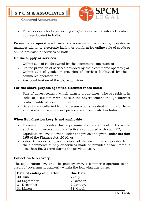

• To a person who buys such goods/services using internet protocol address located in India.

**E-commerce operator** – It means a non-resident who owns, operates or manages digital or electronic facility or platform for online sale of goods or online provision of services or both.

# **Online supply or services**

- Online sale of goods owned by the e commerce operator; or
- Online provision of services provided by the e commerce operator; or
- Online sale of goods or provision of services facilitated by the e commerce operator; or
- Any combination of the above activities

# **For the above purpose specified circumstances mean**

- Sale of advertisement, which targets a customer, who is resident in India or a customer who access the advertisement though internet protocol address located in India; and
- Sale of data collected from a person who is resident in India or from a person who uses internet protocol address located in India

# **When Equalisation Levy is not applicable**

- E commerce operator has a permanent establishment in India and such e commerce supply is effectively conducted with such PE;
- Equalisation levy is levied under the provisions given under **[section](https://taxguru.in/company-law/analysis-section-165-companies-act-2013.html)  [165](https://taxguru.in/company-law/analysis-section-165-companies-act-2013.html)** of the Finance Act, 2016; or
- sales, turnover or gross receipts, of the e-commerce operator from the e-commerce supply or services made or provided or facilitated is less than Rs. 2 crore during the previous year.

# **Collection & recovery**

The equalisation levy shall be paid by every e commerce operator to the credit of government quarterly within the following due dates:

| Date of ending of quarter | <b>Due Date</b> |
|---------------------------|-----------------|
| 30 June                   | 7 July          |
| 30 September              | 7 October       |
| 31 December               | 7 January       |
| 31 March                  | 31 March        |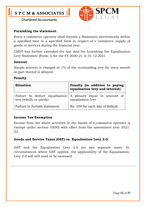



# **Furnishing the statement**

Every e commerce operator shall furnish a Statement electronically within a specified time in a specified form in respect of e commerce supply of goods or services during the financial year.

CBDT has further extended the last date for furnishing the Equalisation Levy Statement (Form-1) for the FY 2020-21 to 31.12.2021

### **Interest**

Simple interest is charged at 1% of the outstanding levy for every month or part thereof is delayed.

### **Penalty**

| <b>Situation</b>             | Penalty (in addition to paying<br>equalisation levy and interest)                    |
|------------------------------|--------------------------------------------------------------------------------------|
| levy (wholly or partly)      | Failure to deduct equalisation $ A $ penalty equal to amount of<br>equalisation levy |
| Failure to furnish statement | Rs. 100 for each day of default                                                      |

### **Income Tax Exemption**

Income from the above activities in the hands of e-commerce operator is exempt under section 10(50) with effect from the assessment year 2021- 22.

# **Goods and Service Taxes (GST) vs. Equalisation Levy 2.0:**

GST and the Equalisation Levy 2.0 are two separate taxes. In circumstances where GST applies, the applicability of the Equalisation Levy 2.0 will still need to be assessed.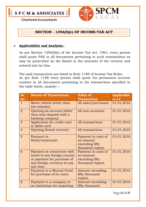

# **SECTION - 139A(5)(c) OF INCOME-TAX ACT**

### • **Applicability and Analysis:-**

As pre Section 139A(5)(c) of the Income Tax Act, 1961, every person shall quote PAN in all documents pertaining to such transactions as may be prescribed by the Board in the interests of the revenue and entered into by him.

The said transactions are listed in Rule 114B of Income Tax Rules. As per Rule 114B every person shall quote his permanent account number in all documents pertaining to the transactions specified in the table below, namely:—

| Sr.            | <b>Nature of Transactions</b>                                                                                                         | <b>Value of</b>                                                        | <b>Applicable</b> |
|----------------|---------------------------------------------------------------------------------------------------------------------------------------|------------------------------------------------------------------------|-------------------|
| no.            |                                                                                                                                       | <b>Transaction</b>                                                     | w.e.f             |
| $\mathbf{1}$   | Motor vehicle (other than<br>two wheeler)                                                                                             | All sales/purchases                                                    | 01.01.2016        |
| $\overline{2}$ | Opening an account (other<br>than time deposit) with a<br>banking company.                                                            | All new accounts.                                                      | 01.01.2016        |
| 3              | Application for credit card<br>or debit card                                                                                          | All transactions                                                       | 01.01.2016        |
| $\overline{4}$ | <b>Opening Demat Account</b>                                                                                                          | All transactions                                                       | 01.01.2016        |
| 5 <sup>5</sup> | Payment to<br>Hotel/restaurant                                                                                                        | Payment in cash of<br>an amount<br>exceeding fifty<br>thousand rupees. | 01.01.2016        |
| 6              | Payment in connection with<br>travel to any foreign country<br>or payment for purchase of<br>any foreign currency at any<br>one time. | Payment in cash of<br>an amount<br>exceeding fifty<br>thousand rupees. | 01.01.2016        |
| $\overline{7}$ | Payment to a Mutual Fund<br>for purchase of its units.                                                                                | Amount exceeding<br>fifty thousand<br>rupees                           | 01.01.2016        |
| 8              | Payment to a company or<br>an institution for acquiring                                                                               | Amount exceeding<br>fifty thousand                                     | 01.01.2016        |

Page **13** of **37**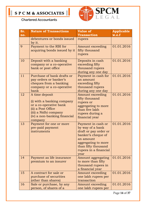

# **Chartered Accountants**

| Sr.<br>no. | <b>Nature of Transactions</b>                                                                                                                                    | <b>Value of</b><br><b>Transaction</b>                                                                                                                                             | <b>Applicable</b><br>w.e.f |
|------------|------------------------------------------------------------------------------------------------------------------------------------------------------------------|-----------------------------------------------------------------------------------------------------------------------------------------------------------------------------------|----------------------------|
|            | debentures or bonds issued<br>by it.                                                                                                                             | rupees                                                                                                                                                                            |                            |
| 9          | Payment to the RBI for<br>acquiring bonds issued by it                                                                                                           | Amount exceeding<br>fifty thousand<br>rupees                                                                                                                                      | 01.01.2016                 |
| 10         | Deposit with a banking<br>company or a co-operative<br>bank or post office                                                                                       | Deposits in cash<br>exceeding fifty<br>thousand rupees<br>during any one day                                                                                                      | 01.01.2016                 |
| 11         | Purchase of bank drafts or<br>pay orders or banker's<br>cheques from a banking<br>company or a co-operative<br>bank                                              | Payment in cash for<br>an amount<br>exceeding fifty<br>thousand rupees<br>during any one day                                                                                      | 01.01.2016                 |
| 12         | A time deposit<br>(i) with a banking company<br>or a co-operative bank<br>(ii) a Post Office<br>(iii) a Nidhi company<br>(iv) a non-banking financial<br>company | Amount exceeding<br>fifty thousand<br>rupees or<br>aggregating to more<br>than five lakh<br>rupees during a<br>financial year                                                     | 01.01.2016                 |
| 13         | Payment for one or more<br>pre-paid payment<br>instruments                                                                                                       | Payment in cash or<br>by way of a bank<br>draft or pay order or<br>banker's cheque of<br>an amount<br>aggregating to more<br>than fifty thousand<br>rupees in a financial<br>year | 01.01.2016                 |
| 14         | Payment as life insurance<br>premium to an insurer                                                                                                               | Amount aggregating<br>to more than fifty<br>thousand rupees in<br>a financial year                                                                                                | 01.01.2016                 |
| 15         | A contract for sale or<br>purchase of securities<br>(other than shares)                                                                                          | Amount exceeding<br>one lakh rupees per<br>transaction                                                                                                                            | 01.01.2016                 |
| 16         | Sale or purchase, by any<br>person, of shares of a                                                                                                               | Amount exceeding<br>one lakh rupees per                                                                                                                                           | 01.01.2016                 |

Page **14** of **37**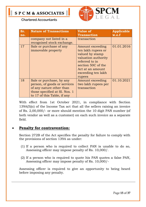



| Sr.<br>no. | <b>Nature of Transactions</b>                                                                                                                        | <b>Value of</b><br><b>Transaction</b>                                                                                                                                        | <b>Applicable</b><br>w.e.f |
|------------|------------------------------------------------------------------------------------------------------------------------------------------------------|------------------------------------------------------------------------------------------------------------------------------------------------------------------------------|----------------------------|
|            | company not listed in a<br>recognised stock exchange.                                                                                                | transaction                                                                                                                                                                  |                            |
| 17         | Sale or purchase of any<br>immovable property                                                                                                        | Amount exceeding<br>ten lakh rupees or<br>valued by stamp<br>valuation authority<br>referred to in<br>section 50C of the<br>Act at an amount<br>exceeding ten lakh<br>rupees | 01.01.2016                 |
| 18         | Sale or purchase, by any<br>person, of goods or services<br>of any nature other than<br>those specified at Sl. Nos. 1<br>to 17 of this Table, if any | Amount exceeding<br>two lakh rupees per<br>transaction                                                                                                                       | 01.10.2021                 |

With effect from 1st October 2021, in compliance with Section 139A(5)(c) of the Income Tax act that all the sellers raising an invoice of Rs. 2,00,000/- or more should mention the 10 digit PAN number (of both vendor as well as a customer) on each such invoice as a separate field.

# • **Penalty for contravention:**

Section 272B of the Act specifies the penalty for failure to comply with the provisions of [section 139A](javascript:ShowMainContent() as under:

- (1) If a person who is required to collect PAN is unable to do so, Assessing officer may impose penalty of Rs. 10,000/.
- (2) If a person who is required to quote his PAN quotes a false PAN, Assessing officer may impose penalty of Rs. 10,000/-

Assessing officer is required to give an opportunity to being heard before imposing any penalty.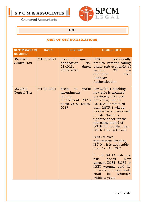

# **GST**

# **GIST OF GST NOTIFICATIONS**

| <b>NOTIFICATION</b>               | <b>DATE</b> | <b>SUBJECT</b>                                                                                   | <b>HIGHLIGHTS</b>                                                                                                                                                                                                                                                                                                                                                                                                                                                                                                                                                              |
|-----------------------------------|-------------|--------------------------------------------------------------------------------------------------|--------------------------------------------------------------------------------------------------------------------------------------------------------------------------------------------------------------------------------------------------------------------------------------------------------------------------------------------------------------------------------------------------------------------------------------------------------------------------------------------------------------------------------------------------------------------------------|
| <b>NUMBER</b>                     |             |                                                                                                  |                                                                                                                                                                                                                                                                                                                                                                                                                                                                                                                                                                                |
| $36/2021 -$<br><b>Central Tax</b> | 24-09-2021  | Seeks to amend<br>Notification<br>No.<br>03/2021<br>dated<br>23.02.2021.                         | <b>CBIC</b><br>additionally<br>notifies Persons falling<br>under sub section6A of<br>section<br>25<br>are<br>from<br>exempted<br>Aadhaar<br>Authentication                                                                                                                                                                                                                                                                                                                                                                                                                     |
| $35/2021 -$<br><b>Central Tax</b> | 24-09-2021  | Seeks<br>make<br>to<br>amendments<br>(Eighth)<br>Amendment, 2021)<br>to the CGST Rules,<br>2017. | For GSTR 1 blocking<br>now rule is updated<br>previously if for two<br>preceding months<br>GSTR 3B is not filed<br>then GSTR 1 will get<br>blocked was mentioned<br>in rule. Now it is<br>updated to for for the<br>preceding period of<br>GSTR 3B not filed then<br>GSTR 1 will get block<br><b>CBIC</b> relaxes<br>requirement for filing<br>ITC 04. It is applicable<br>from 1st Oct 2021<br>In rule 89 1A sub new<br>rule<br>added.<br><b>Now</b><br>amount CGST, SGST or<br>IGST wrongly paid for<br>intra state or inter state<br>shall be<br>refunded<br>within 2 years |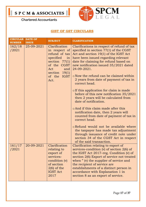

**Chartered Accountants** 

# **GIST OF GST CIRCULARS**

| <b>CIRCULAR</b><br><b>NUMBER</b> | <b>DATE OF</b><br><b>ISSUE</b> | <b>SUBJECT</b>                                                                                                                                                         | <b>CLARIFICATION</b>                                                                                                                                                                                                                                                                                                                                                                                                                                                                                                                                                                                                                                                                                                                                                                                                                                                         |
|----------------------------------|--------------------------------|------------------------------------------------------------------------------------------------------------------------------------------------------------------------|------------------------------------------------------------------------------------------------------------------------------------------------------------------------------------------------------------------------------------------------------------------------------------------------------------------------------------------------------------------------------------------------------------------------------------------------------------------------------------------------------------------------------------------------------------------------------------------------------------------------------------------------------------------------------------------------------------------------------------------------------------------------------------------------------------------------------------------------------------------------------|
| 162/18<br>/2021                  | 25-09-2021                     | Clarification<br>in respect of<br>refund of tax<br>specified<br>in<br>section $77(1)$<br>of the CGST<br>Act<br>and<br>section $19(1)$<br>of the<br><b>IGST</b><br>Act. | Clarifications in respect of refund of tax<br>specified in section $77(1)$ of the CGST<br>Act and section 19(1) of the IGST Act<br>have been issued regarding relevant<br>date for claiming for refund based on<br>new notification issued 35/2021 dated<br>24-09-2021.<br>o Now the refund can be claimed within<br>2 years from date of payment of tax in<br>correct head.<br>o If this application for claim is made<br>before of this new notification 35/2021<br>then 2 years will be calculated from<br>date of notification.<br>o And if this claim made after this<br>notification date, then 2 years will<br>counted from date of payment of tax in<br>correct head.<br>o Refund would not be available where<br>the taxpayer has made tax adjustment<br>through issuance of credit note under<br>section 34 of the CGST Act in respect<br>of the said transaction. |
| 161/17<br>/2021                  | 20-09-2021                     | Clarification<br>relating to<br>export of<br>services-<br>condition (v)<br>of section<br>$2(6)$ of the<br><b>IGST Act</b><br>2017                                      | Clarification relating to export of<br>services-condition $(v)$ of section $2(6)$ of<br>the IGST Act $2017$ –reg. Condition (v) of<br>section 2(6) Export of service not treated<br>when " (v) the supplier of service and<br>the recipient of service are<br>establishments of a distinct person in<br>accordance with Explanation 1 in<br>section 8 as an export of service.                                                                                                                                                                                                                                                                                                                                                                                                                                                                                               |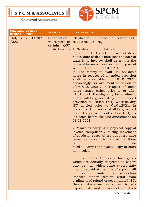

**Chartered Accountants** 

| <b>CIRCULAR</b><br><b>NUMBER</b> | <b>DATE OF</b><br><b>ISSUE</b> | <b>SUBJECT</b>                                                  | <b>CLARIFICATION</b>                                                                                                                                                                                                                                                                                                                                                                                                                                                                                                                                                                                                                                                                                                                                                                                                                                                                                                                                                                                                                                                                                                                                                                                                                                                                                                                                                                                                                                                                                                                                      |
|----------------------------------|--------------------------------|-----------------------------------------------------------------|-----------------------------------------------------------------------------------------------------------------------------------------------------------------------------------------------------------------------------------------------------------------------------------------------------------------------------------------------------------------------------------------------------------------------------------------------------------------------------------------------------------------------------------------------------------------------------------------------------------------------------------------------------------------------------------------------------------------------------------------------------------------------------------------------------------------------------------------------------------------------------------------------------------------------------------------------------------------------------------------------------------------------------------------------------------------------------------------------------------------------------------------------------------------------------------------------------------------------------------------------------------------------------------------------------------------------------------------------------------------------------------------------------------------------------------------------------------------------------------------------------------------------------------------------------------|
| 160/16<br>/2021                  | 20-09-2021                     | Clarification<br>in respect of<br>certain GST<br>related issues | Clarification in respect of certain GST<br>related issues – reg.<br>1. Clarification on debit note<br>(a) w.e.f. $01.01.2021$ , in case of debit<br>notes, date of debit note (not the date of<br>underlying invoice) shall determine the<br>relevant financial year for the purpose of<br>section 16(4) of the CGST Act.<br>(b) The facility to avail ITC on debit<br>notes in respect of amended provision<br>shall be applicable from 01.01.2021.<br>Accordingly, for availment of ITC on or<br>after 01.01.2021, in respect of debit<br>notes issued either prior to or after<br>01.01.2021, the eligibility for availment<br>of ITC will be governed by the amended<br>provision of section 16(4), whereas any<br>ITC availed prior to 01.01.2021, in<br>respect of debit notes, shall be governed<br>under the provisions of section $16(4)$ , as<br>it existed before the said amendment on<br>01.01.2021.<br>2. Regarding carrying a physical copy of<br>invoice compulsorily during movement<br>of goods in cases where suppliers have<br>issued e-invoice, It is clarified that there<br>1S<br>no<br>need to carry the physical copy of such<br>tax invoice.<br>3. It is clarified that only those goods<br>which are actually subjected to export<br>duty i.e., on which some export duty<br>has to be paid at the time of export, will<br>covered<br>under the restriction<br>be<br>imposed under section 54(3) from<br>availment of refund of accumulated ITC.<br>Goods, which are not subject to any<br>export duty and in respect of which |
|                                  |                                |                                                                 |                                                                                                                                                                                                                                                                                                                                                                                                                                                                                                                                                                                                                                                                                                                                                                                                                                                                                                                                                                                                                                                                                                                                                                                                                                                                                                                                                                                                                                                                                                                                                           |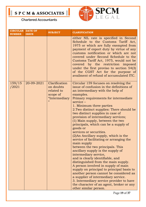

**Chartered Accountants** 

| <b>NUMBER</b>   | <b>CIRCULAR DATE OF</b><br><b>ISSUE</b> | <b>SUBJECT</b>                                                                | <b>CLARIFICATION</b>                                                                                                                                                                                                                                                                                                                                                                                                                                                                                                                                                                                                                                                                                                                                                                                                                                                                                                                                                                                                                      |
|-----------------|-----------------------------------------|-------------------------------------------------------------------------------|-------------------------------------------------------------------------------------------------------------------------------------------------------------------------------------------------------------------------------------------------------------------------------------------------------------------------------------------------------------------------------------------------------------------------------------------------------------------------------------------------------------------------------------------------------------------------------------------------------------------------------------------------------------------------------------------------------------------------------------------------------------------------------------------------------------------------------------------------------------------------------------------------------------------------------------------------------------------------------------------------------------------------------------------|
|                 |                                         |                                                                               | either NIL rate is specified in Second<br>Schedule to the Customs Tariff Act,<br>1975 or which are fully exempted from<br>payment of export duty by virtue of any<br>customs notification or which are not<br>covered under Second Schedule to the<br>Customs Tariff Act, 1975, would not be<br>covered by the restriction imposed<br>under the first proviso to section $54(3)$<br>of the CGST Act for the purpose of<br>availment of refund of accumulated ITC.                                                                                                                                                                                                                                                                                                                                                                                                                                                                                                                                                                         |
| 159/15<br>/2021 | 20-09-2021                              | Clarification<br>on doubts<br>related to<br>scope of<br>"Intermediary<br>, 22 | Circular 159 focuses on resolving the<br>issue of confusion in the definitions of<br>an intermediary with the help of<br>examples.<br>Primary requirements for intermediate<br>$s$ ervice –<br>1. Minimum three parties<br>2. Two distinct supplies: There should be<br>two distinct supplies in case of<br>provision of intermediary services;<br>(1) Main supply, between the two<br>principals, which can be a supply of<br>goods or<br>services or securities.<br>(2) An Ancillary supply, which is the<br>service of facilitating or arranging the<br>main supply<br>between the two principals. This<br>ancillary supply is the supply of<br>intermediary service,<br>and is clearly identifiable, and<br>distinguished from the main supply.<br>A person involved in supply of main<br>supply on principal to principal basis to<br>another person cannot be considered as<br>a supplier of intermediary service.<br>3. Intermediary service provider to have<br>the character of an agent, broker or any<br>other similar person. |

Page **19** of **37**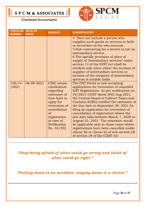

**Chartered Accountants** 

| <b>CIRCULAR</b><br><b>NUMBER</b> | <b>DATE OF</b><br><b>ISSUE</b> | <b>SUBJECT</b>                                                                                                                                                                                                      | <b>CLARIFICATION</b>                                                                                                                                                                                                                                                                                                                                                                                                                                                                                                                                                                                                                           |
|----------------------------------|--------------------------------|---------------------------------------------------------------------------------------------------------------------------------------------------------------------------------------------------------------------|------------------------------------------------------------------------------------------------------------------------------------------------------------------------------------------------------------------------------------------------------------------------------------------------------------------------------------------------------------------------------------------------------------------------------------------------------------------------------------------------------------------------------------------------------------------------------------------------------------------------------------------------|
|                                  |                                |                                                                                                                                                                                                                     | 4. Does not include a person who<br>supplies such goods or services or both<br>or securities on his own account.<br>5 Sub-contracting for a service is not an<br>intermediary service.<br>6 The specific provision of place of<br>supply of 'intermediary services' under<br>section 13 of the IGST Act shall be<br>invoked only when either the location of<br>supplier of intermediary services or<br>location of the recipient of intermediary<br>services is outside India                                                                                                                                                                 |
| 158/14<br>/2021                  | 06-09-2021                     | <b>CBIC</b> issues<br>clarification<br>regarding<br>extension of<br>time limit to<br>apply for<br>revocation of<br>cancellation<br><sub>of</sub><br>registration<br>in view of<br><b>Notification</b><br>No. 34/202 | The GST Portal is now accepting<br>applications for revocation of cancelled<br>GST Registration. As per notification no.<br>34/2021-CGST dated 29th Aug 2021,<br>the Central Board of Indirect Taxes and<br>Customs (CBIC) notified the extension of<br>the due date to September 30, 2021 for<br>filing an application for revocation of<br>cancellation of registration where the<br>due date falls between March 1, 2020 to<br>August 31, 2021. The extension would<br>be applicable only in those cases where<br>registrations have been cancelled under<br>clause (b) or clause (c) of sub-section $(2)$<br>of section 29 of the CGST Act |

*"Stop being afraid of what could go wrong and think of what could go right."*

*"Falling down is an accident, staying down is a choice."*

Page **20** of **37**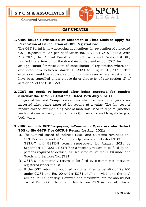

**Chartered Accountants** 

# **GST UPDATES**

**1. CBIC issues clarification on Extension of Time Limit to apply for Revocation of Cancellation of GST Registration:**

The GST Portal is now accepting applications for revocation of cancelled GST Registration. As per notification no. 34/2021-CGST dated 29th Aug 2021, the Central Board of Indirect Taxes and Customs (CBIC) notified the extension of the due date to September 30, 2021 for filing an application for revocation of cancellation of registration where the due date falls between March 1, 2020 to August 31, 2021. The extension would be applicable only in those cases where registrations have been cancelled under clause (b) or clause (c) of sub-section (2) of section 29 of the CGST Act.

**2. IGST on goods re-imported after being exported for repairs: (Circular No. 16/2021-Customs; Dated 19th July 2021) :**

Integrated tax and Compensation cess shall be leviable on goods reimported after being exported for repairs at a value. The fair cost of repairs carried out including cost of materials used in repairs (whether such costs are actually incurred or not), insurance and freight charges, both ways.

# **3. CBIC reminds GST Taxpayers, E-Commerce Operators who Deduct TDS to file GSTR-7 or GSTR-8 Return for Aug, 2021:**

- **a.** The Central Board of Indirect Taxes and Customs reminded the GST Taxpayers and ECommerce Operators who Deduct TDS to file GSTR-7 and GSTR-8 return respectively for August, 2021 by September 10, 2021. GSTR-7 is a monthly return to be filed by the persons required to deduct Tax Deducted at Source (TDS) under the Goods and Services Tax (GST).
- **b.** GSTR-8 is a monthly return to be filed by e-commerce operators registered under the GST.
- **c.** If the GST return is not filed on time, then a penalty of Rs.100 under CGST and Rs.100 under SGST shall be levied, and the total will be Rs.200 per day. However, the maximum late fee should not exceed Rs 5,000. There is no late fee on IGST in case of delayed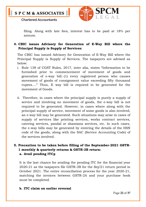

filing. Along with late fees, interest has to be paid at 18% per annum.

# **4. CBIC issues Advisory for Generation of E-Way Bill where the Principal Supply is Supply of Services:**

The CBIC has issued Advisory for Generation of E-Way Bill where the Principal Supply is Supply of Services. The taxpayers are advised as below:

- i. Rule 138 of CGST Rules, 2017, inter alia, states "Information to be furnished prior to commencement of movement of goods and generation of e-way bill.-(1) every registered person who causes movement of goods of consignment value exceeding fifty thousand rupees…." Thus, E way bill is required to be generated for the movement of Goods.
- ii. Therefore, in cases where the principal supply is purely a supply of service and involving no movement of goods, the e-way bill is not required to be generated. However, in cases where along with the principal supply of service, movement of some goods is also involved, an e-way bill may be generated. Such situations may arise in cases of supply of services like printing services, works contract services, catering services, pandal or shamiana services, etc. In such cases, the e-way bills may be generated by entering the details of the HSN code of the goods, along with the SAC (Service Accounting Code) of the services involved.

# **5. Precaution to be taken before filling of the September-2021 GSTR-1 monthly & quarterly returns & GSTR-3B return: a. Avail pending ITCp**

It is the last chance for availing the pending ITC for the financial year 2020-21 as the taxpayers file GSTR-3B for the Sep'21 return period in October 2021. The entire reconciliation process for the year 2020-21, matching the invoices between GSTR-2A and your purchase book must be completed.

### **b. ITC claim on earlier reversal**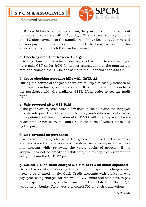

If GST credit has been reversed during the year on account of payment not made to suppliers within 180 days. The taxpayer can again claim the ITC after payment to the supplier which has been already reversed on non-payment. It is important to check the books of accounts for any such entry on which ITC can be claimed.

# **c. Checking credit for Reverse Charge**

It is important to cross-check your books of account to confirm if you have paid GST under RCM for proper transactions at the appropriate rate and claimed the ITC for the same in the Financial Year 2020-21.

# **d. Cross-checking purchase bills with GSTR-2A**

During the course of the year, there are multiple missed purchases or no invoice purchases, lost invoices etc. It is important to cross-check the purchases with the available GSTR 2A in order to get the audit right.

# **e. Sale reversed after GST Paid**

If the goods are rejected after a few days of the sale and the taxpayer has already paid the GST due on the sale, such differences also need to be pointed out. Reconciliation of GSTR-2A with the taxpayer's books of accounts is necessary to claim ITC on the basis of Debit Note issued by the party.

# **f. GST reversal on purchases**

If a taxpayer has rejected a part of goods purchased to the supplier and has issued a debit note, such entries are also important to take into account while reviewing the yearly books of account. If the supplier has not accepted the debit note, the taxpayer can reverse the entry to claim the GST ITC paid.

# **g. Collect ITC on Bank charges & claim of ITC on small expenses:**

Bank charges like processing fees and unit inspection charges also need to be claimed timely. Cash Credit accounts with banks have to pay 'processing charges' for renewal of C/C limits and also have to pay unit inspection charges which are directly debited to their C/C accounts by banks. Taxpayers can collect ITC on such transactions.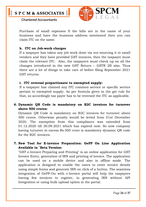

Purchase of small expenses If the bills are in the name of your business and have the business address mentioned then you can claim ITC on the same.

# **h. ITC on Job-work charges**

If a taxpayer has taken any job work done via out-sourcing it to small vendors and they have provided GST invoices, then the taxpayer must claim the relevant ITC. Also, the taxpayers must check up on all the changes introduced in the new GST Return – GSTR 2B also. Thus there are a lot of things to take care of before filing September 2021 GST returns.

# **i. ITC reversal proportionate to exempted supply:**

If a taxpayer has claimed any ITC common service or specific service pertain to exempted supply. As per formula given in the gst rule for that, so accordingly tax payer has to be reversed the ITC as applicable.

# **6. Dynamic QR Code is mandatory on B2C invoices for turnover above 500 crores:**

Dynamic QR Code is mandatory on B2C invoices for turnover above 500 crores. Otherwise penalty would be levied from 01st December 2020. The exemption from this compliance was extended from 01.12.2020 till 30.09.2021 which has expired now. So now company having turnover in excess Rs.500 crore is mandatory dynamic QR code for the B2C invoices.

# **7. New Tool for E-invoice Preparation: GePP On Line Application Available in `Beta Version:**

"GST e-Invoice Preparing and Printing" is an online application for GST Invoice Entry, generation of IRN and printing of invoice. The application can be used on a mobile device and also in offline mode. The application is designed to enable the users to enter invoice details using simple forms and generate IRN on click of a button. The seamless integration of GePP-On with e-Invoice portal will help the taxpayers having few invoices to register, in generating IRN without API Integration or using bulk upload option in the portal.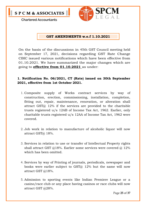

# **GST AMENDMENTS w.e.f 1.10.2021**

On the basis of the discussions in 45th GST Council meeting held on September 17, 2021, decisions regarding GST Rate Change CBIC issued various notifications which have been effective from 01.10.2021. We have summarized the major changes which are going to **effective from 01.10.2021** as under:

# **1. Notification No. 06/2021, CT (Rate) issued on 30th September 2021, effective from 1st October 2021.**

- 1. Composite supply of Works contract services by way of construction, erection, commissioning, installation, completion, fitting out, repair, maintenance, renovation, or alteration shall attract GST@ 12% if the services are provided to the charitable trusts registered u/s 12AB of Income Tax Act, 1962. Earlier, onIy charitable trusts registered u/s 12AA of Income Tax Act, 1962 were covered.
- 2. Job work in relation to manufacture of alcoholic liquor will now attract GST@ 18%.
- 3. Services in relation to use or transfer of Intellectual Property rights shall attract GST  $@18\%$ . Earlier some services were covered  $@12\%$ which has been omitted.
- 4. Services by way of Printing of journals, periodicals, newspaper and books were earlier subject to GST@ 12% but the same will now attract GST @18%.
- 5. Admission to sporting events like Indian Premiere League or a casino/race club or any place having casinos or race clubs will now attract GST @28%.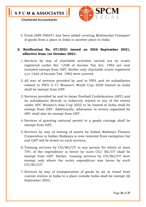

6. Fresh HSN 996541 has been added covering Multimodal Transport of goods from a place in India to another place in India

# **2. Notification No. 07/2021 issued on 30th September 2021, effective from 1st October 2021.**

- 1.Services by way of charitable activities carried out by trusts registered under Sec 12AB of Income Tax Act, 1962 are now included exempt from GST. Earlier only charitable trusts registered u/s 12AA of Income Tax, 1962 were covered.
- 2.All sort of services provided by and to FIFA and its subsidiaries related to FIFA U-17 Women's World Cup 2020 hosted in India shall be exempt from GST.
- 3.Services provided by and to Asian Football Confederation (AFC) and its subsidiaries directly or indirectly related to any of the events under AFC Women's Asia Cup 2022 to be hosted in India shall be exempt from GST. Additionally, admission to events organised by AFC shall also be exempt from GST.
- 4.Services of granting national permit to a goods carriage shall be exempt from GST.
- 5.Services by way of leasing of assets by Indian Railways Finance Corporation to Indian Railways is now removed from exemption list and GST will be levied on such services.
- 6. Training services by CG/SG/UT to any person for which at least 75% of the expenditure is borne by such CG/ SG/UT shall be exempt from GST. Earlier, training services by CG/SG/UT were exempt only where the entire expenditure was borne by such CG/SG/UT.
- 7.Services by way of transportation of goods by air or vessel from custom station in India to a place outside India shall be exempt till September 2022.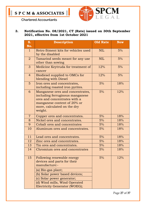

# **3. Notification No. 08/2021, CT (Rate) issued on 30th September 2021, effective from 1st October 2021**

| S.             | <b>Description</b>                                                                                                                                                           | <b>Old Rate</b> | <b>New</b> |
|----------------|------------------------------------------------------------------------------------------------------------------------------------------------------------------------------|-----------------|------------|
| No.            |                                                                                                                                                                              |                 |            |
| $\mathbf{1}$   | Retro fitment kits for vehicles used<br>by the disabled                                                                                                                      | <b>NIL</b>      | 5%         |
| $\overline{2}$ | Tamarind seeds meant for any use<br>other than sowing                                                                                                                        | <b>NIL</b>      | 5%         |
| 3              | Medicine Keytruda for treatment of<br>cancer                                                                                                                                 | 12%             | 5%         |
| $\overline{4}$ | Biodiesel supplied to OMCs for<br>blending with Diesel                                                                                                                       | 12%             | 5%         |
| 5 <sup>5</sup> | Iron ores and concentrates,<br>including roasted iron pyrites.                                                                                                               | 5%              | 18%        |
| 6              | Manganese ores and concentrates,<br>including ferruginous manganese<br>ores and concentrates with a<br>manganese content of 20% or<br>more, calculated on the dry<br>weight. | 5%              | 12%        |
| $\overline{7}$ | Copper ores and concentrates.                                                                                                                                                | 5%              | 18%        |
| 8              | Nickel ores and concentrates.                                                                                                                                                | 5%              | 18%        |
| 9              | Cobalt ores and concentrates                                                                                                                                                 | 5%              | 18%        |
| 10             | Aluminum ores and concentrates.                                                                                                                                              | 5%              | 18%        |
| 11             | Lead ores and concentrates.                                                                                                                                                  | 5%              | 18%        |
| 12             | Zinc ores and concentrates.                                                                                                                                                  | 5%              | 18%        |
| 13             | Tin ores and concentrates.                                                                                                                                                   | 5%              | 18%        |
| 14             | Chromium ores and concentrates                                                                                                                                               | 5%              | 18%        |
| 15             | Following renewable energy<br>devices and parts for their<br>manufacture:-                                                                                                   | 5%              | 12%        |
|                | (a) Bio-gas plant;                                                                                                                                                           |                 |            |
|                | (b) Solar power based devices;                                                                                                                                               |                 |            |
|                | (c) Solar power generator;                                                                                                                                                   |                 |            |
|                | (d) Wind mills, Wind Operated<br>Electricity Generator (WOEG);                                                                                                               |                 |            |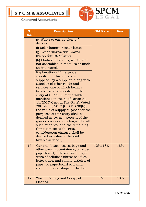

**Chartered Accountants** 

| S.<br>No. | <b>Description</b>                                                                                                                                                                                                                                                                                                                                                                                                                                                                                                                                                                                                                                                                                                                                                                                                                                                                                          | <b>Old Rate</b> | <b>New</b> |
|-----------|-------------------------------------------------------------------------------------------------------------------------------------------------------------------------------------------------------------------------------------------------------------------------------------------------------------------------------------------------------------------------------------------------------------------------------------------------------------------------------------------------------------------------------------------------------------------------------------------------------------------------------------------------------------------------------------------------------------------------------------------------------------------------------------------------------------------------------------------------------------------------------------------------------------|-----------------|------------|
|           | (e) Waste to energy plants /<br>devices;<br>(f) Solar lantern / solar lamp;<br>(g) Ocean waves/tidal waves<br>energy devices/plants;<br>(h) Photo voltaic cells, whether or<br>not assembled in modules or made<br>up into panels.<br>Explanation: If the goods<br>specified in this entry are<br>supplied, by a supplier, along with<br>supplies of other goods and<br>services, one of which being a<br>taxable service specified in the<br>entry at S. No. 38 of the Table<br>mentioned in the notification No.<br>11/2017-Central Tax (Rate), dated<br>28th June, 2017 [G.S.R. 690(E)],<br>the value of supply of goods for the<br>purposes of this entry shall be<br>deemed as seventy percent of the<br>gross consideration charged for all<br>such supplies, and the remaining<br>thirty percent of the gross<br>consideration charged shall be<br>deemed as value of the said<br>taxable service."; |                 |            |
| 16        | Cartons, boxes, cases, bags and<br>other packing containers, of paper,<br>paperboard, cellulose wadding or<br>webs of cellulose fibres; box files,<br>letter trays, and similar articles, of<br>paper or paperboard of a kind<br>used in offices, shops or the like                                                                                                                                                                                                                                                                                                                                                                                                                                                                                                                                                                                                                                         | 12%/18%         | 18%        |
| 17        | Waste, Parings and Scrap, of<br>Plastics                                                                                                                                                                                                                                                                                                                                                                                                                                                                                                                                                                                                                                                                                                                                                                                                                                                                    | 5%              | 18%        |

Page **28** of **37**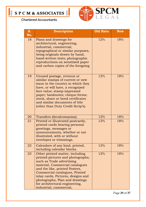

| S.<br>No. | <b>Description</b>                                                                                                                                                                                                                                                                                                                            | <b>Old Rate</b> | <b>New</b> |
|-----------|-----------------------------------------------------------------------------------------------------------------------------------------------------------------------------------------------------------------------------------------------------------------------------------------------------------------------------------------------|-----------------|------------|
| 18        | Plans and drawings for<br>architectural, engineering,<br>industrial, commercial,<br>topographical or similar purposes,<br>being originals drawn by hand;<br>hand-written texts; photographic<br>reproductions on sensitized paper<br>and carbon copies of the foregoing                                                                       | 12%             | 18%        |
| 19        | Unused postage, revenue or<br>similar stamps of current or new<br>issue in the country in which they<br>have, or will have, a recognized<br>face value; stamp-impressed<br>paper; banknotes; cheque forms;<br>stock, share or bond certificates<br>and similar documents of title<br>(other than Duty Credit Scrip's).                        | 12%             | 18%        |
| 20        | Transfers (decalcomanias).                                                                                                                                                                                                                                                                                                                    | 12%             | 18%        |
| 21        | Printed or illustrated postcards;<br>printed cards bearing personal<br>greetings, messages or<br>announcements, whether or not<br>illustrated, with or without<br>envelopes or trimmings.                                                                                                                                                     | 12%             | 18%        |
| 22        | Calendars of any kind, printed,<br>including calendar blocks.                                                                                                                                                                                                                                                                                 | 12%             | 18%        |
| 23        | Other printed matter, including<br>printed pictures and photographs;<br>such as Trade advertising<br>material, Commercial catalogues<br>and the like, printed Posters,<br>Commercial catalogues, Printed<br>inlay cards, Pictures, designs and<br>photographs, Plan and drawings<br>for architectural engineering,<br>industrial, commercial, | 12%             | 18%        |

Page **29** of **37**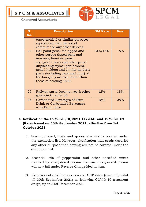

| S.<br>No.       | <b>Description</b>                                                                                                                                                                                                                                                                                               | <b>Old Rate</b> | <b>New</b> |
|-----------------|------------------------------------------------------------------------------------------------------------------------------------------------------------------------------------------------------------------------------------------------------------------------------------------------------------------|-----------------|------------|
|                 | topographical or similar purposes<br>reproduced with the aid of<br>computer or any other devices                                                                                                                                                                                                                 |                 |            |
| 24              | Ball point pens; felt tipped and<br>other porous tipped pens and<br>markers; fountain pens;<br>stylograph pens and other pens;<br>duplicating stylos; pen holders,<br>pencil holders and similar holders;<br>parts (including caps and clips) of<br>the foregoing articles, other than<br>those of heading 9609. | 12%/18%         | 18%        |
| 25              | Railway parts, locomotives & other<br>goods in Chapter 86                                                                                                                                                                                                                                                        | 12%             | 18%        |
| 26 <sub>1</sub> | <b>Carbonated Beverages of Fruit</b><br><b>Drink or Carbonated Beverages</b><br>with Fruit Juice                                                                                                                                                                                                                 | 18%             | 28%        |

# **4. Notification No. 09/2021,10/2021 11/2021 and 12/2021 CT (Rate) issued on 30th September 2021, effective from 1st October 2021.**

- 1. Sowing of seed, fruits and spores of a kind is covered under the exemption list. However, clarification that seeds used for any other purpose than sowing will not be covered under the exemption list.
- 2. Essential oils of peppermint and other specified mints received by a registered person from an unregistered person will now fall under Reverse Charge Mechanism.
- 3. Extension of existing concessional GST rates (currently valid till 30th September 2021) on following COVID-19 treatment drugs, up to 31st December 2021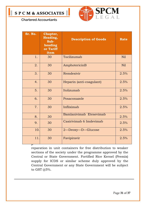



| Sr. No. | Chapter,<br>Heading,<br>Sub-<br>heading<br>or Tariff<br>item | <b>Description of Goods</b> | <b>Rate</b> |
|---------|--------------------------------------------------------------|-----------------------------|-------------|
| 1.      | 30                                                           | Tocilizumab                 | Nil         |
| 2.      | 30                                                           | AmphotericinB               | Nil         |
| 3.      | 30                                                           | Remdesivir                  | 2.5%        |
| 4.      | 30                                                           | Heparin (anti-coagulant)    | 2.5%        |
| 5.      | 30                                                           | Itolizumab                  | 2.5%        |
| 6.      | 30                                                           | Posaconazole                | 2.5%        |
| 7.      | 30                                                           | Infliximab                  | 2.5%        |
| 8.      | 30                                                           | Bamlanivimab Etesevimab     | 2.5%        |
| 9.      | 30                                                           | Casirivimab 6 Imdevimab     | 2.5%        |
| 10.     | 30                                                           | 2-Deoxy-D-Glucose           | 2.5%        |
| 11.     | 30                                                           | Favipiravir                 | 2.5%        |

reparation in unit containers for free distribution to weaker sections of the society under the programme approved by the Central or State Government. Fortified Rice Kernel (Premix) supply for ICDS or similar scheme duly approved by the Central Government or any State Government will be subject to GST @5%.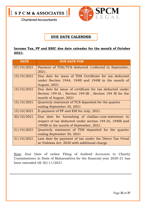

# **DUE DATE CALENDER**

# **Income Tax, PF and ESIC due date calendar for the month of October 2021:**

| <b>DATE</b> | <b>DUE DATE FOR</b>                                                                                                                                      |  |  |
|-------------|----------------------------------------------------------------------------------------------------------------------------------------------------------|--|--|
| 07/10/2021  | Payment of TDS/TCS deducted / collected in September,<br>2021.                                                                                           |  |  |
| 15/10/2021  | Due date for issue of TDS Certificate for tax deducted<br>under Section 194A. 194B and 194M in the month of<br>August, 2021.                             |  |  |
| 15/10/2021  | Due date for issue of certificate for tax deducted under<br>Section 194-IA, Section 194-IB, Section 194 M for the<br>month of August, 2021               |  |  |
| 15/10/2021  | Quarterly statement of TCS deposited for the quarter<br>ending September 30, 2021                                                                        |  |  |
| 15/10/2021  | E-payment of PF and ESI for July, 2021.                                                                                                                  |  |  |
| 30/10/2021  | Due date for furnishing of challan-cum-statement in<br>respect of tax deducted under section 194-IA, 194IB and<br>194IM in the month of September, 2021. |  |  |
| 31/10/2021  | Quarterly statement of TDS deposited for the quarter<br>ending September 30, 2021                                                                        |  |  |
| 31/10/2021  | Last date for payment of tax under the Direct Tax Vivad<br>se Vishwas Act, 2020 with additional charge.                                                  |  |  |

Note: Due Date of online Filing of Audited Accounts to Charity Commissioner in State of Maharashtra for the financial year 2020-21 has been extended till 30/11/2021.

Page **32** of **37**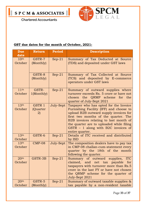



# **GST due dates for the month of October, 2021:**

| <b>Due</b><br>date          | <b>Return</b>                                 | <b>Period</b> | <b>Description</b>                                                                                                                                                                                                                                                                                                   |
|-----------------------------|-----------------------------------------------|---------------|----------------------------------------------------------------------------------------------------------------------------------------------------------------------------------------------------------------------------------------------------------------------------------------------------------------------|
| 10 <sup>th</sup><br>October | GSTR-7<br>(Monthly)                           | $Sep-21$      | Summary of Tax Deducted at Source<br>(TDS) and deposited under GST laws                                                                                                                                                                                                                                              |
|                             | GSTR-8<br>(Monthly)                           | $Sep-21$      | Summary of Tax Collected at Source<br>(TCS) and deposited by E-commerce<br>operators under GST laws                                                                                                                                                                                                                  |
| 11 <sup>th</sup><br>October | GSTR-<br>1(Monthly)                           | $Sep-21$      | Summary of outward supplies where<br>turnover exceeds Rs. 5 crore or have not<br>chosen the QRMP scheme for the<br>quarter of July-Sept 2021                                                                                                                                                                         |
| 13 <sup>th</sup><br>October | <b>GSTR1</b><br>(Quarter<br>$\left( 2\right)$ | July-Sept     | Taxpayer who has opted for the Invoice<br>Furnishing Facility (IFF) and choose to<br>upload B2B outward supply invoices for<br>first two months of the quarter. The<br>B2B invoices relating to last month of<br>the quarter are to uploaded while filing<br>GSTR $-1$ along with B2C invoices of<br>entire quarter. |
| 13 <sup>th</sup><br>October | GSTR-6                                        | $Sep-21$      | Details of ITC received and distributed<br>by ISD                                                                                                                                                                                                                                                                    |
| 13 <sup>th</sup><br>October | <b>CMP-08</b>                                 | July-Sept     | The composition dealers have to pay tax<br>in CMP-08 challan-cum-statement every<br>quarter by the 18th of the month<br>following the quarter.                                                                                                                                                                       |
| 20 <sup>th</sup><br>October | GSTR-3B                                       | $Sep-21$      | <b>ITC</b><br>Summary of outward<br>supplies,<br>claimed, and net tax payable for<br>taxpayers with turnover more than Rs.5<br>crore in the last FY or have not chosen<br>the QRMP scheme for the quarter of<br>July-Sept 2021                                                                                       |
| 20 <sup>th</sup><br>October | GSTR-5<br>(Monthly)                           | $Sep-21$      | Summary of outward taxable supplies &<br>tax payable by a non-resident taxable                                                                                                                                                                                                                                       |

Page **33** of **37**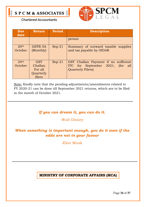



| <b>Due</b><br>date          | <b>Return</b>                                           | <b>Period</b> | <b>Description</b>                                                                                          |
|-----------------------------|---------------------------------------------------------|---------------|-------------------------------------------------------------------------------------------------------------|
|                             |                                                         |               | person                                                                                                      |
| 20 <sup>th</sup><br>October | GSTR-5A<br>(Monthly)                                    | $Sep-21$      | Summary of outward taxable supplies<br>and tax payable by OIDAR                                             |
| 24 <sup>th</sup><br>October | <b>GST</b><br>Challan<br>For all<br>Quarterly<br>filers | $Sep-21$      | GST Challan Payment if no sufficient<br>ITC for September 2021,<br>(for<br>all<br><b>Quarterly Filers</b> ) |

Note: Kindly note that the pending adjustments/amendments related to FY 2020-21 can be done till September 2021 returns, which are to be filed in the month of October 2021.

# *If you can dream it, you can do it.*

*-*Walt Disney

# *When something is important enough, you do it even if the odds are not in your favour*

*-*Elon Musk

# **MINISTRY OF CORPORATE AFFAIRS (MCA)**

Page **34** of **37**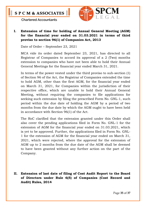

**I. Extension of time for holding of Annual General Meeting (AGM) for the financial year ended on 31.03.2021 in terms of third proviso to section 96(1) of Companies Act, 2013**

Date of Order – September 23, 2021

MCA vide its order dated September 23, 2021, has directed to all Registrar of Companies to accord its approval of a 2 (Two) months extension to companies who have not been able to hold their Annual General Meetings for the financial year ended March 31, 2021.

In terms of the power vested under the third proviso to sub-section (1) of Section 96 of the Act, the Registrar of Companies extended the time to hold AGM, other than the first AGM, for the financial year ended on March 31, 2021, for Companies within the jurisdiction of their respective office, which are unable to hold their Annual General Meeting, without requiring the companies to file applications for seeking such extension by filing the prescribed Form No. GNL-1, such period within the due date of holding the AGM by a period of two months from the due date by which the AGM ought to have been held in accordance with Section 96(1) of the Act.

The RoC clarified that the extension granted under this Order shall also cover the pending applications filed in Form No. GNL-1 for the extension of AGM for the financial year ended on 31.03.2021, which is yet to be approved. Further, the applications filed in Form No. GNL-1 for the extension of AGM for the financial year ended on March 31, 2021, which were rejected, where the approval for the extension of AGM up to 2 months from the due date of the AGM shall be deemed to have been granted without any further action on the part of the Company.

**II. Extension of last date of filing of Cost Audit Report to the Board of Directors under Rule 6(5) of Companies (Cost Record and Audit) Rules, 2014**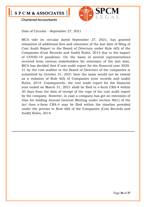



Date of Circular - September 27, 2021

MCA vide its circular dated September 27, 2021, has granted relaxation of additional fees and extension of the last date of filing of Cost Audit Report to the Board of Directors under Rule 6(5) of the Companies (Cost Records and Audit) Rules, 2014 due to the impact of COVID-19 pandemic. On the basis of several representations received from various stakeholders for extension of the last date, MCA has decided that if cost audit report for the financial year 2020- 21 by the cost auditor to the Board of Directors of the companies is submitted by October 31, 2021 then the same would not be viewed as a violation of Rule 6(5) of Companies (cost records and audit) Rules, 2014. Consequently, the cost audit report for the financial year ended on March 31, 2021 shall be filed in e-form CRA-4 within 30 days from the date of receipt of the copy of the cost audit report by the company. However, in case a company has got an extension of time for holding Annual General Meeting under section 96(1) of the Act then e-form CRA-4 may be filed within the timeline provided under the proviso to Rule 6(6) of the Companies (Cost Records and Audit) Rules, 2014.